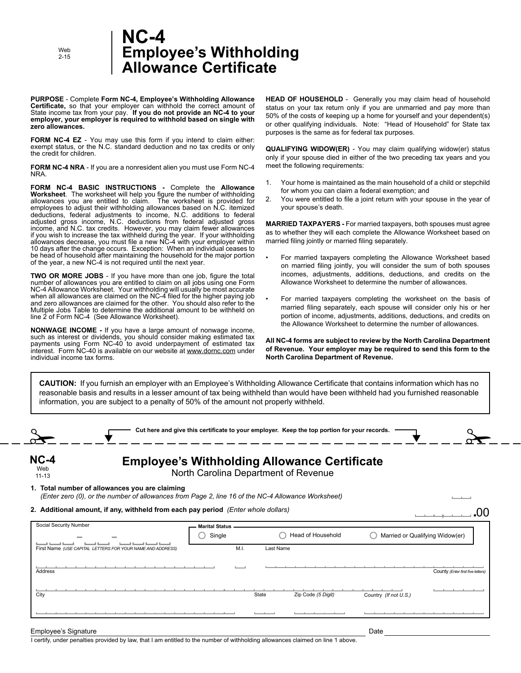Web 2-15

### **Employee's Withholding Allowance Certificate NC-4**

**PURPOSE** - Complete **Form NC-4, Employee's Withholding Allowance Certificate,** so that your employer can withhold the correct amount of State income tax from your pay. **If you do not provide an NC-4 to your employer, your employer is required to withhold based on single with zero allowances.**

**FORM NC-4 EZ** - You may use this form if you intend to claim either: exempt status, or the N.C. standard deduction and no tax credits or only the credit for children.

**FORM NC-4 NRA** - If you are a nonresident alien you must use Form NC-4 NRA.

**FORM NC-4 BASIC INSTRUCTIONS -** Complete the **Allowance Worksheet**. The worksheet will help you figure the number of withholding allowances you are entitled to claim. The worksheet is provided for employees to adjust their withholding allowances based on N.C. itemized deductions, federal adjustments to income, N.C. additions to federal adjusted gross income, N.C. deductions from federal adjusted gross income, and N.C. tax credits. However, you may claim fewer allowances if you wish to increase the tax withheld during the year. If your withholding allowances decrease, you must file a new NC-4 with your employer within 10 days after the change occurs. Exception: When an individual ceases to be head of household after maintaining the household for the major portion of the year, a new NC-4 is not required until the next year.

**TWO OR MORE JOBS** - If you have more than one job, figure the total number of allowances you are entitled to claim on all jobs using one Form NC-4 Allowance Worksheet. Your withholding will usually be most accurate when all allowances are claimed on the NC-4 filed for the higher paying job and zero allowances are claimed for the other. You should also refer to the Multiple Jobs Table to determine the additional amount to be withheld on line 2 of Form NC-4 (See Allowance Worksheet).

**NONWAGE INCOME -** If you have a large amount of nonwage income, such as interest or dividends, you should consider making estimated tax payments using Form NC-40 to avoid underpayment of estimated tax payments com NC-40 is available on our website at www.dornc.com under individual income tax forms.

**HEAD OF HOUSEHOLD** - Generally you may claim head of household status on your tax return only if you are unmarried and pay more than 50% of the costs of keeping up a home for yourself and your dependent(s) or other qualifying individuals. Note: "Head of Household" for State tax purposes is the same as for federal tax purposes.

**QUALIFYING WIDOW(ER)** - You may claim qualifying widow(er) status only if your spouse died in either of the two preceding tax years and you meet the following requirements:

- 1. Your home is maintained as the main household of a child or stepchild for whom you can claim a federal exemption; and
- 2. You were entitled to file a joint return with your spouse in the year of your spouse's death.

**MARRIED TAXPAYERS -** For married taxpayers, both spouses must agree as to whether they will each complete the Allowance Worksheet based on married filing jointly or married filing separately.

- For married taxpayers completing the Allowance Worksheet based on married filing jointly, you will consider the sum of both spouses incomes, adjustments, additions, deductions, and credits on the Allowance Worksheet to determine the number of allowances.
- For married taxpayers completing the worksheet on the basis of married filing separately, each spouse will consider only his or her portion of income, adjustments, additions, deductions, and credits on the Allowance Worksheet to determine the number of allowances.

**All NC-4 forms are subject to review by the North Carolina Department of Revenue. Your employer may be required to send this form to the North Carolina Department of Revenue.**

**CAUTION:** If you furnish an employer with an Employee's Withholding Allowance Certificate that contains information which has no reasonable basis and results in a lesser amount of tax being withheld than would have been withheld had you furnished reasonable information, you are subject to a penalty of 50% of the amount not properly withheld.

|                                                                                                                                                      | Cut here and give this certificate to your employer. Keep the top portion for your records. |           |                    |                                 |                                   |
|------------------------------------------------------------------------------------------------------------------------------------------------------|---------------------------------------------------------------------------------------------|-----------|--------------------|---------------------------------|-----------------------------------|
| $NC-4$<br>Web<br>$11 - 13$                                                                                                                           | <b>Employee's Withholding Allowance Certificate</b><br>North Carolina Department of Revenue |           |                    |                                 |                                   |
| 1. Total number of allowances you are claiming<br>(Enter zero (0), or the number of allowances from Page 2, line 16 of the NC-4 Allowance Worksheet) |                                                                                             |           |                    |                                 |                                   |
| 2. Additional amount, if any, withheld from each pay period (Enter whole dollars)                                                                    |                                                                                             |           |                    |                                 |                                   |
| Social Security Number                                                                                                                               | <b>Marital Status</b>                                                                       |           |                    |                                 |                                   |
|                                                                                                                                                      | Single                                                                                      |           | Head of Household  | Married or Qualifying Widow(er) |                                   |
| First Name (USE CAPITAL LETTERS FOR YOUR NAME AND ADDRESS)                                                                                           | M.I.                                                                                        | Last Name |                    |                                 |                                   |
|                                                                                                                                                      |                                                                                             |           |                    |                                 |                                   |
| Address                                                                                                                                              |                                                                                             |           |                    |                                 | County (Enter first five letters) |
|                                                                                                                                                      |                                                                                             |           |                    |                                 |                                   |
| City                                                                                                                                                 |                                                                                             | State     | Zip Code (5 Digit) | Country (If not U.S.)           |                                   |
|                                                                                                                                                      |                                                                                             |           |                    |                                 |                                   |
|                                                                                                                                                      |                                                                                             |           |                    |                                 |                                   |
| Employee's Signature                                                                                                                                 |                                                                                             |           |                    | Date                            |                                   |

I certify, under penalties provided by law, that I am entitled to the number of withholding allowances claimed on line 1 above.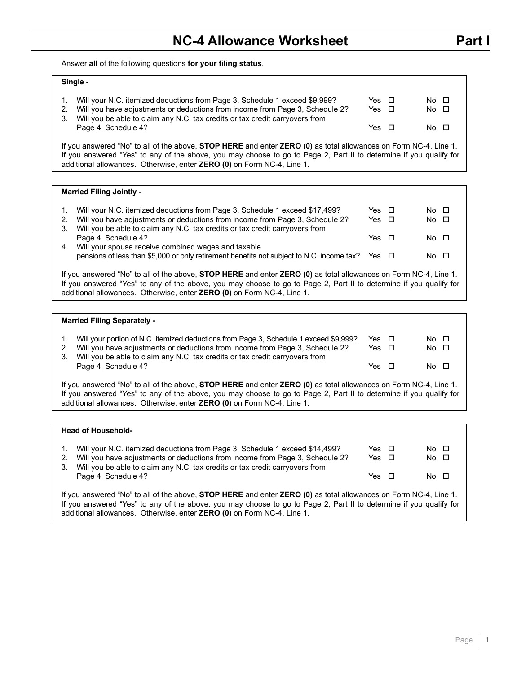Answer **all** of the following questions **for your filing status**.

#### **Single -**

| Will your N.C. itemized deductions from Page 3, Schedule 1 exceed \$9,999?<br>Will you have adjustments or deductions from income from Page 3, Schedule 2?<br>2.<br>Will you be able to claim any N.C. tax credits or tax credit carryovers from<br>3.<br>Page 4, Schedule 4?                                                  | Yes □<br>Yes □<br>Yes ロ |  | No □<br>$No$ $\Box$<br>No □ |  |  |
|--------------------------------------------------------------------------------------------------------------------------------------------------------------------------------------------------------------------------------------------------------------------------------------------------------------------------------|-------------------------|--|-----------------------------|--|--|
| If you answered "No" to all of the above, <b>STOP HERE</b> and enter <b>ZERO (0)</b> as total allowances on Form NC-4, Line 1.<br>If you answered "Yes" to any of the above, you may choose to go to Page 2, Part II to determine if you qualify for<br>additional allowances. Otherwise, enter ZERO (0) on Form NC-4, Line 1. |                         |  |                             |  |  |
|                                                                                                                                                                                                                                                                                                                                |                         |  |                             |  |  |
| <b>Married Filing Jointly -</b>                                                                                                                                                                                                                                                                                                |                         |  |                             |  |  |

|    | Will your N.C. itemized deductions from Page 3, Schedule 1 exceed \$17,499?                          | Yes □      | $No$ $\Box$ |  |
|----|------------------------------------------------------------------------------------------------------|------------|-------------|--|
|    | 2. Will you have adjustments or deductions from income from Page 3, Schedule 2?                      | Yes $\Box$ | $No$ $\Box$ |  |
|    | 3. Will you be able to claim any N.C. tax credits or tax credit carryovers from                      |            |             |  |
|    | Page 4, Schedule 4?                                                                                  | Yes $\Box$ | $No$ $\Box$ |  |
| 4. | Will your spouse receive combined wages and taxable                                                  |            |             |  |
|    | pensions of less than \$5,000 or only retirement benefits not subject to N.C. income tax? Yes $\Box$ |            | $No$ $\Box$ |  |
|    |                                                                                                      |            |             |  |

If you answered "No" to all of the above, **STOP HERE** and enter **ZERO (0)** as total allowances on Form NC-4, Line 1. If you answered "Yes" to any of the above, you may choose to go to Page 2, Part II to determine if you qualify for additional allowances. Otherwise, enter **ZERO (0)** on Form NC-4, Line 1.

| <b>Married Filing Separately -</b>                                                                                                                                                                                                                                                                                                    |                |                            |
|---------------------------------------------------------------------------------------------------------------------------------------------------------------------------------------------------------------------------------------------------------------------------------------------------------------------------------------|----------------|----------------------------|
| Will your portion of N.C. itemized deductions from Page 3, Schedule 1 exceed \$9,999?<br>Will you have adjustments or deductions from income from Page 3, Schedule 2?<br>2.<br>Will you be able to claim any N.C. tax credits or tax credit carryovers from<br>3.                                                                     | Yes □<br>Yes ロ | $No$ $\Box$<br>$No$ $\Box$ |
| Page 4, Schedule 4?                                                                                                                                                                                                                                                                                                                   | Yes $\Box$     | No □                       |
| If you answered "No" to all of the above, <b>STOP HERE</b> and enter <b>ZERO (0)</b> as total allowances on Form NC-4, Line 1.<br>If you answered "Yes" to any of the above, you may choose to go to Page 2, Part II to determine if you qualify for<br>additional allowances. Otherwise, enter <b>ZERO (0)</b> on Form NC-4, Line 1. |                |                            |

| <b>Head of Household-</b>                                                                                                                                                                                                                                                                                                      |       |  |             |  |  |  |  |
|--------------------------------------------------------------------------------------------------------------------------------------------------------------------------------------------------------------------------------------------------------------------------------------------------------------------------------|-------|--|-------------|--|--|--|--|
| Will your N.C. itemized deductions from Page 3, Schedule 1 exceed \$14,499?                                                                                                                                                                                                                                                    | Yes ロ |  | $No$ $\Box$ |  |  |  |  |
| Will you have adjustments or deductions from income from Page 3, Schedule 2?<br>2.<br>Will you be able to claim any N.C. tax credits or tax credit carryovers from<br>3.                                                                                                                                                       | Yes ロ |  | $No$ $\Box$ |  |  |  |  |
| Page 4, Schedule 4?                                                                                                                                                                                                                                                                                                            | Yes □ |  | No □        |  |  |  |  |
| If you answered "No" to all of the above, <b>STOP HERE</b> and enter <b>ZERO (0)</b> as total allowances on Form NC-4, Line 1.<br>If you answered "Yes" to any of the above, you may choose to go to Page 2, Part II to determine if you qualify for<br>additional allowances. Otherwise, enter ZERO (0) on Form NC-4, Line 1. |       |  |             |  |  |  |  |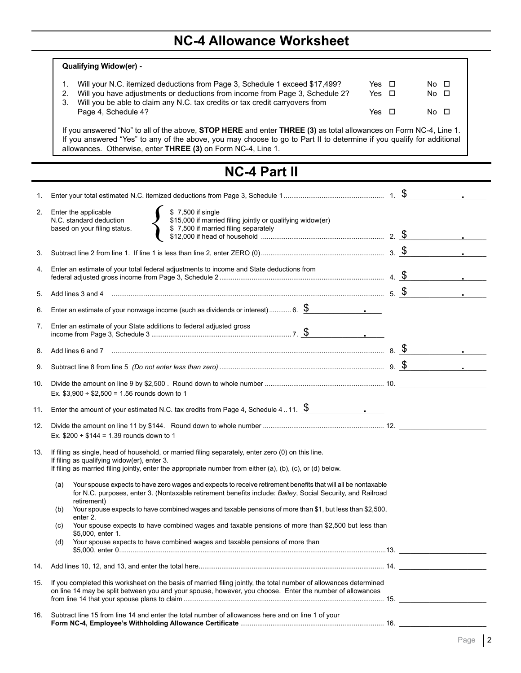# **NC-4 Allowance Worksheet**

|     | <b>Qualifying Widow(er) -</b>                                                                                                                                                                                                                                                                                                  |  |                                       |  |
|-----|--------------------------------------------------------------------------------------------------------------------------------------------------------------------------------------------------------------------------------------------------------------------------------------------------------------------------------|--|---------------------------------------|--|
|     | Will your N.C. itemized deductions from Page 3, Schedule 1 exceed \$17,499?<br>Yes $\Box$<br>1.<br>Will you have adjustments or deductions from income from Page 3, Schedule 2?<br>2.<br>Yes $\Box$<br>Will you be able to claim any N.C. tax credits or tax credit carryovers from<br>3.<br>Page 4, Schedule 4?<br>Yes $\Box$ |  | No □<br>$No$ $\square$<br>$No$ $\Box$ |  |
|     | If you answered "No" to all of the above, STOP HERE and enter THREE (3) as total allowances on Form NC-4, Line 1.<br>If you answered "Yes" to any of the above, you may choose to go to Part II to determine if you qualify for additional<br>allowances. Otherwise, enter THREE (3) on Form NC-4, Line 1.                     |  |                                       |  |
|     | <b>NC-4 Part II</b>                                                                                                                                                                                                                                                                                                            |  |                                       |  |
| 1.  |                                                                                                                                                                                                                                                                                                                                |  |                                       |  |
| 2.  | \$7,500 if single<br>Enter the applicable<br>\$15,000 if married filing jointly or qualifying widow(er)<br>N.C. standard deduction<br>\$7,500 if married filing separately<br>based on your filing status.                                                                                                                     |  |                                       |  |
| 3.  |                                                                                                                                                                                                                                                                                                                                |  |                                       |  |
| 4.  | Enter an estimate of your total federal adjustments to income and State deductions from                                                                                                                                                                                                                                        |  |                                       |  |
| 5.  |                                                                                                                                                                                                                                                                                                                                |  |                                       |  |
| 6.  | Enter an estimate of your nonwage income (such as dividends or interest) 6. $\$\$                                                                                                                                                                                                                                              |  |                                       |  |
| 7.  | Enter an estimate of your State additions to federal adjusted gross                                                                                                                                                                                                                                                            |  |                                       |  |
| 8.  |                                                                                                                                                                                                                                                                                                                                |  |                                       |  |
| 9.  |                                                                                                                                                                                                                                                                                                                                |  |                                       |  |
| 10. | Ex. $$3,900 \div $2,500 = 1.56$ rounds down to 1                                                                                                                                                                                                                                                                               |  |                                       |  |
| 11. | Enter the amount of your estimated N.C. tax credits from Page 4, Schedule 411. $\frac{\$}{\$}$                                                                                                                                                                                                                                 |  |                                       |  |
|     | Ex. $$200 \div $144 = 1.39$ rounds down to 1                                                                                                                                                                                                                                                                                   |  |                                       |  |
| 13. | If filing as single, head of household, or married filing separately, enter zero (0) on this line.<br>If filing as qualifying widow(er), enter 3.<br>If filing as married filing jointly, enter the appropriate number from either (a), (b), (c), or (d) below.                                                                |  |                                       |  |
|     | Your spouse expects to have zero wages and expects to receive retirement benefits that will all be nontaxable<br>(a)<br>for N.C. purposes, enter 3. (Nontaxable retirement benefits include: Bailey, Social Security, and Railroad<br>retirement)                                                                              |  |                                       |  |
|     | Your spouse expects to have combined wages and taxable pensions of more than \$1, but less than \$2,500,<br>(b)<br>enter 2.                                                                                                                                                                                                    |  |                                       |  |
|     | Your spouse expects to have combined wages and taxable pensions of more than \$2,500 but less than<br>(C)<br>\$5,000, enter 1.                                                                                                                                                                                                 |  |                                       |  |
|     | Your spouse expects to have combined wages and taxable pensions of more than<br>(d)                                                                                                                                                                                                                                            |  |                                       |  |
| 14. |                                                                                                                                                                                                                                                                                                                                |  |                                       |  |
| 15. | If you completed this worksheet on the basis of married filing jointly, the total number of allowances determined<br>on line 14 may be split between you and your spouse, however, you choose. Enter the number of allowances                                                                                                  |  |                                       |  |
| 16. | Subtract line 15 from line 14 and enter the total number of allowances here and on line 1 of your                                                                                                                                                                                                                              |  |                                       |  |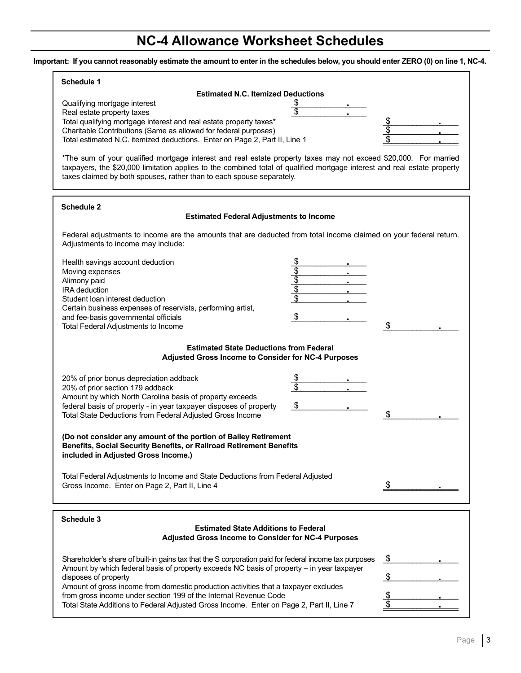## **NC-4 Allowance Worksheet Schedules**

**Important: If you cannot reasonably estimate the amount to enter in the schedules below, you should enter ZERO (0) on line 1, NC-4.**

| <b>Schedule 1</b>                                                                                                                                                                                                                                                                                                     |                                                               |  |  |  |  |  |  |
|-----------------------------------------------------------------------------------------------------------------------------------------------------------------------------------------------------------------------------------------------------------------------------------------------------------------------|---------------------------------------------------------------|--|--|--|--|--|--|
| <b>Estimated N.C. Itemized Deductions</b>                                                                                                                                                                                                                                                                             |                                                               |  |  |  |  |  |  |
| Qualifying mortgage interest<br>Real estate property taxes<br>Total qualifying mortgage interest and real estate property taxes*<br>Charitable Contributions (Same as allowed for federal purposes)<br>Total estimated N.C. itemized deductions. Enter on Page 2, Part II, Line 1                                     | <u>\$</u><br>\$<br>$\overline{\$}$<br>$\overline{\mathbb{S}}$ |  |  |  |  |  |  |
| *The sum of your qualified mortgage interest and real estate property taxes may not exceed \$20,000. For married<br>taxpayers, the \$20,000 limitation applies to the combined total of qualified mortgage interest and real estate property<br>taxes claimed by both spouses, rather than to each spouse separately. |                                                               |  |  |  |  |  |  |
| Schedule 2<br><b>Estimated Federal Adjustments to Income</b>                                                                                                                                                                                                                                                          |                                                               |  |  |  |  |  |  |
| Federal adjustments to income are the amounts that are deducted from total income claimed on your federal return.<br>Adjustments to income may include:                                                                                                                                                               |                                                               |  |  |  |  |  |  |
| Health savings account deduction<br>Moving expenses<br>Alimony paid<br><b>IRA</b> deduction<br>Student loan interest deduction<br>Certain business expenses of reservists, performing artist,<br>and fee-basis governmental officials<br>Total Federal Adjustments to Income                                          | နှစ်မြစ်<br>$\frac{1}{2}$<br>\$                               |  |  |  |  |  |  |
| <b>Estimated State Deductions from Federal</b><br>Adjusted Gross Income to Consider for NC-4 Purposes                                                                                                                                                                                                                 |                                                               |  |  |  |  |  |  |
| 20% of prior bonus depreciation addback<br>20% of prior section 179 addback<br>Amount by which North Carolina basis of property exceeds<br>federal basis of property - in year taxpayer disposes of property<br>Total State Deductions from Federal Adjusted Gross Income                                             | \$<br>\$<br>\$<br>\$                                          |  |  |  |  |  |  |
| (Do not consider any amount of the portion of Bailey Retirement<br>Benefits, Social Security Benefits, or Railroad Retirement Benefits<br>included in Adjusted Gross Income.)                                                                                                                                         |                                                               |  |  |  |  |  |  |
| Total Federal Adjustments to Income and State Deductions from Federal Adjusted<br>Gross Income. Enter on Page 2, Part II, Line 4                                                                                                                                                                                      | \$                                                            |  |  |  |  |  |  |
| Schedule 3                                                                                                                                                                                                                                                                                                            |                                                               |  |  |  |  |  |  |
| <b>Estimated State Additions to Federal</b><br>Adjusted Gross Income to Consider for NC-4 Purposes                                                                                                                                                                                                                    |                                                               |  |  |  |  |  |  |
| Shareholder's share of built-in gains tax that the S corporation paid for federal income tax purposes<br>Amount by which federal basis of property exceeds NC basis of property - in year taxpayer<br>disposes of property                                                                                            | \$<br>$\frac{1}{2}$                                           |  |  |  |  |  |  |
| Amount of gross income from domestic production activities that a taxpayer excludes<br>from gross income under section 199 of the Internal Revenue Code<br>Total State Additions to Federal Adjusted Gross Income. Enter on Page 2, Part II, Line 7                                                                   | $\frac{1}{2}$<br>\$                                           |  |  |  |  |  |  |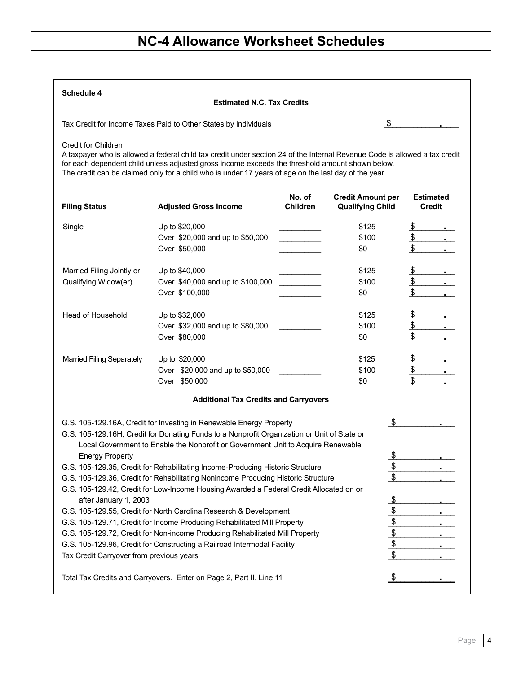# **NC-4 Allowance Worksheet Schedules**

| Schedule 4                               | <b>Estimated N.C. Tax Credits</b>                                                                                                                                                                                                                                                                                                     |                           |                                                     |                                   |
|------------------------------------------|---------------------------------------------------------------------------------------------------------------------------------------------------------------------------------------------------------------------------------------------------------------------------------------------------------------------------------------|---------------------------|-----------------------------------------------------|-----------------------------------|
|                                          | Tax Credit for Income Taxes Paid to Other States by Individuals                                                                                                                                                                                                                                                                       |                           | \$                                                  |                                   |
| Credit for Children                      | A taxpayer who is allowed a federal child tax credit under section 24 of the Internal Revenue Code is allowed a tax credit<br>for each dependent child unless adjusted gross income exceeds the threshold amount shown below.<br>The credit can be claimed only for a child who is under 17 years of age on the last day of the year. |                           |                                                     |                                   |
| <b>Filing Status</b>                     | <b>Adjusted Gross Income</b>                                                                                                                                                                                                                                                                                                          | No. of<br><b>Children</b> | <b>Credit Amount per</b><br><b>Qualifying Child</b> | <b>Estimated</b><br><b>Credit</b> |
| Single                                   | Up to \$20,000                                                                                                                                                                                                                                                                                                                        |                           | \$125                                               |                                   |
|                                          | Over \$20,000 and up to \$50,000                                                                                                                                                                                                                                                                                                      |                           | \$100                                               |                                   |
|                                          | Over \$50,000                                                                                                                                                                                                                                                                                                                         |                           | \$0                                                 | $\frac{\sqrt{25}}{\sqrt{25}}$     |
| Married Filing Jointly or                | Up to \$40,000                                                                                                                                                                                                                                                                                                                        |                           | \$125                                               | <u>\$</u>                         |
| Qualifying Widow(er)                     | Over \$40,000 and up to \$100,000                                                                                                                                                                                                                                                                                                     |                           | \$100                                               | $\frac{1}{2}$                     |
|                                          | Over \$100,000                                                                                                                                                                                                                                                                                                                        |                           | \$0                                                 | $\frac{1}{2}$                     |
| <b>Head of Household</b>                 | Up to \$32,000                                                                                                                                                                                                                                                                                                                        |                           | \$125                                               | $\frac{\$}$ .                     |
|                                          | Over \$32,000 and up to \$80,000                                                                                                                                                                                                                                                                                                      |                           | \$100                                               |                                   |
|                                          | Over \$80,000                                                                                                                                                                                                                                                                                                                         |                           | \$0                                                 | $rac{1}{2}$                       |
| <b>Married Filing Separately</b>         | Up to \$20,000                                                                                                                                                                                                                                                                                                                        |                           | \$125                                               | $\frac{\mathsf{s}}{\mathsf{s}}$ . |
|                                          | Over \$20,000 and up to \$50,000                                                                                                                                                                                                                                                                                                      |                           | \$100                                               | $\frac{\text{S}}{\text{S}}$ .     |
|                                          | Over \$50,000                                                                                                                                                                                                                                                                                                                         |                           | \$0                                                 |                                   |
|                                          | <b>Additional Tax Credits and Carryovers</b>                                                                                                                                                                                                                                                                                          |                           |                                                     |                                   |
|                                          | G.S. 105-129.16A, Credit for Investing in Renewable Energy Property                                                                                                                                                                                                                                                                   |                           | - \$                                                |                                   |
|                                          | G.S. 105-129.16H, Credit for Donating Funds to a Nonprofit Organization or Unit of State or<br>Local Government to Enable the Nonprofit or Government Unit to Acquire Renewable                                                                                                                                                       |                           |                                                     |                                   |
| <b>Energy Property</b>                   |                                                                                                                                                                                                                                                                                                                                       |                           | \$                                                  |                                   |
|                                          | G.S. 105-129.35, Credit for Rehabilitating Income-Producing Historic Structure                                                                                                                                                                                                                                                        |                           |                                                     |                                   |
|                                          | G.S. 105-129.36, Credit for Rehabilitating Nonincome Producing Historic Structure                                                                                                                                                                                                                                                     |                           | $\frac{2}{\sqrt{2}}$<br>\$                          |                                   |
|                                          | G.S. 105-129.42, Credit for Low-Income Housing Awarded a Federal Credit Allocated on or                                                                                                                                                                                                                                               |                           |                                                     |                                   |
| after January 1, 2003                    |                                                                                                                                                                                                                                                                                                                                       |                           |                                                     |                                   |
|                                          | G.S. 105-129.55, Credit for North Carolina Research & Development                                                                                                                                                                                                                                                                     |                           | $\frac{6}{9}$                                       |                                   |
|                                          | G.S. 105-129.71, Credit for Income Producing Rehabilitated Mill Property                                                                                                                                                                                                                                                              |                           |                                                     |                                   |
|                                          | G.S. 105-129.72, Credit for Non-income Producing Rehabilitated Mill Property                                                                                                                                                                                                                                                          |                           | $\frac{1}{2}$                                       |                                   |
|                                          | G.S. 105-129.96, Credit for Constructing a Railroad Intermodal Facility                                                                                                                                                                                                                                                               |                           |                                                     |                                   |
| Tax Credit Carryover from previous years |                                                                                                                                                                                                                                                                                                                                       |                           | \$                                                  |                                   |
|                                          |                                                                                                                                                                                                                                                                                                                                       |                           |                                                     |                                   |